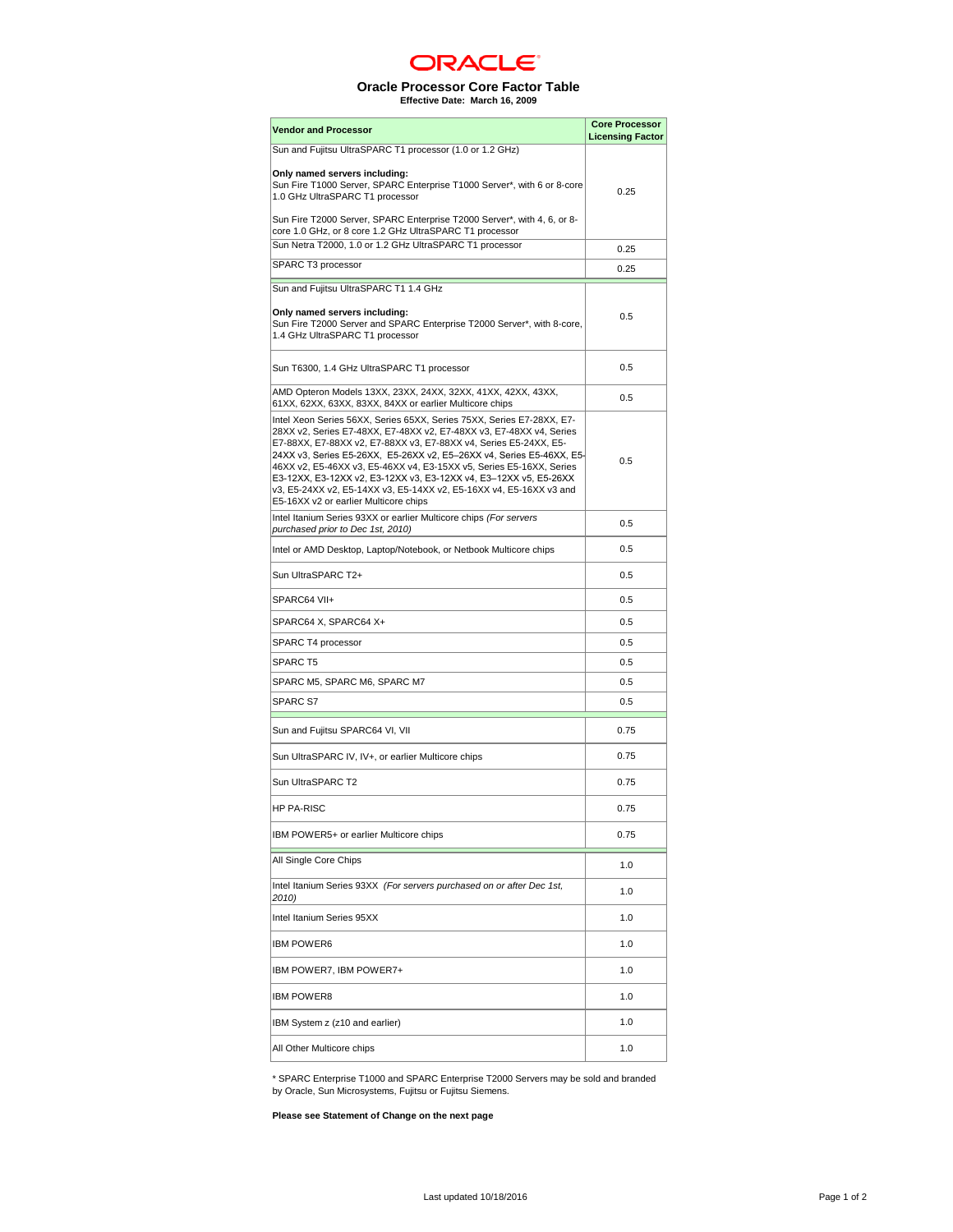

## **Oracle Processor Core Factor Table Effective Date: March 16, 2009**

| <b>Vendor and Processor</b>                                                                                                                                                                                                                                                                                                                                                                                                                                                                                                                        | <b>Core Processor</b>   |
|----------------------------------------------------------------------------------------------------------------------------------------------------------------------------------------------------------------------------------------------------------------------------------------------------------------------------------------------------------------------------------------------------------------------------------------------------------------------------------------------------------------------------------------------------|-------------------------|
| Sun and Fujitsu UltraSPARC T1 processor (1.0 or 1.2 GHz)                                                                                                                                                                                                                                                                                                                                                                                                                                                                                           | <b>Licensing Factor</b> |
| Only named servers including:<br>Sun Fire T1000 Server, SPARC Enterprise T1000 Server*, with 6 or 8-core<br>1.0 GHz UltraSPARC T1 processor                                                                                                                                                                                                                                                                                                                                                                                                        | 0.25                    |
| Sun Fire T2000 Server, SPARC Enterprise T2000 Server*, with 4, 6, or 8-<br>core 1.0 GHz, or 8 core 1.2 GHz UltraSPARC T1 processor                                                                                                                                                                                                                                                                                                                                                                                                                 |                         |
| Sun Netra T2000, 1.0 or 1.2 GHz UltraSPARC T1 processor                                                                                                                                                                                                                                                                                                                                                                                                                                                                                            | 0.25                    |
| SPARC T3 processor                                                                                                                                                                                                                                                                                                                                                                                                                                                                                                                                 | 0.25                    |
| Sun and Fujitsu UltraSPARC T1 1.4 GHz                                                                                                                                                                                                                                                                                                                                                                                                                                                                                                              |                         |
| Only named servers including:<br>Sun Fire T2000 Server and SPARC Enterprise T2000 Server*, with 8-core,<br>1.4 GHz UltraSPARC T1 processor                                                                                                                                                                                                                                                                                                                                                                                                         | 0.5                     |
| Sun T6300, 1.4 GHz UltraSPARC T1 processor                                                                                                                                                                                                                                                                                                                                                                                                                                                                                                         | 0.5                     |
| AMD Opteron Models 13XX, 23XX, 24XX, 32XX, 41XX, 42XX, 43XX,<br>61XX, 62XX, 63XX, 83XX, 84XX or earlier Multicore chips                                                                                                                                                                                                                                                                                                                                                                                                                            | 0.5                     |
| Intel Xeon Series 56XX, Series 65XX, Series 75XX, Series E7-28XX, E7-<br>28XX v2, Series E7-48XX, E7-48XX v2, E7-48XX v3, E7-48XX v4, Series<br>E7-88XX, E7-88XX v2, E7-88XX v3, E7-88XX v4, Series E5-24XX, E5-<br>24XX v3, Series E5-26XX, E5-26XX v2, E5-26XX v4, Series E5-46XX, E5-<br>46XX v2, E5-46XX v3, E5-46XX v4, E3-15XX v5, Series E5-16XX, Series<br>E3-12XX, E3-12XX v2, E3-12XX v3, E3-12XX v4, E3-12XX v5, E5-26XX<br>v3, E5-24XX v2, E5-14XX v3, E5-14XX v2, E5-16XX v4, E5-16XX v3 and<br>E5-16XX v2 or earlier Multicore chips | 0.5                     |
| Intel Itanium Series 93XX or earlier Multicore chips (For servers<br>purchased prior to Dec 1st, 2010)                                                                                                                                                                                                                                                                                                                                                                                                                                             | 0.5                     |
| Intel or AMD Desktop, Laptop/Notebook, or Netbook Multicore chips                                                                                                                                                                                                                                                                                                                                                                                                                                                                                  | 0.5                     |
| Sun UltraSPARC T2+                                                                                                                                                                                                                                                                                                                                                                                                                                                                                                                                 | 0.5                     |
| SPARC64 VII+                                                                                                                                                                                                                                                                                                                                                                                                                                                                                                                                       | 0.5                     |
| SPARC64 X, SPARC64 X+                                                                                                                                                                                                                                                                                                                                                                                                                                                                                                                              | 0.5                     |
| SPARC T4 processor                                                                                                                                                                                                                                                                                                                                                                                                                                                                                                                                 | 0.5                     |
| <b>SPARC T5</b>                                                                                                                                                                                                                                                                                                                                                                                                                                                                                                                                    | 0.5                     |
| SPARC M5, SPARC M6, SPARC M7                                                                                                                                                                                                                                                                                                                                                                                                                                                                                                                       | 0.5                     |
| SPARC S7                                                                                                                                                                                                                                                                                                                                                                                                                                                                                                                                           | 0.5                     |
| Sun and Fujitsu SPARC64 VI, VII                                                                                                                                                                                                                                                                                                                                                                                                                                                                                                                    | 0.75                    |
| Sun UltraSPARC IV, IV+, or earlier Multicore chips                                                                                                                                                                                                                                                                                                                                                                                                                                                                                                 | 0.75                    |
| Sun UltraSPARC T2                                                                                                                                                                                                                                                                                                                                                                                                                                                                                                                                  | 0.75                    |
| <b>HP PA-RISC</b>                                                                                                                                                                                                                                                                                                                                                                                                                                                                                                                                  | 0.75                    |
| IBM POWER5+ or earlier Multicore chips                                                                                                                                                                                                                                                                                                                                                                                                                                                                                                             | 0.75                    |
| All Single Core Chips                                                                                                                                                                                                                                                                                                                                                                                                                                                                                                                              | 1.0                     |
| Intel Itanium Series 93XX (For servers purchased on or after Dec 1st,<br>2010)                                                                                                                                                                                                                                                                                                                                                                                                                                                                     | 1.0                     |
| Intel Itanium Series 95XX                                                                                                                                                                                                                                                                                                                                                                                                                                                                                                                          | 1.0                     |
| <b>IBM POWER6</b>                                                                                                                                                                                                                                                                                                                                                                                                                                                                                                                                  | 1.0                     |
| IBM POWER7, IBM POWER7+                                                                                                                                                                                                                                                                                                                                                                                                                                                                                                                            | 1.0                     |
| <b>IBM POWER8</b>                                                                                                                                                                                                                                                                                                                                                                                                                                                                                                                                  | 1.0                     |
| IBM System z (z10 and earlier)                                                                                                                                                                                                                                                                                                                                                                                                                                                                                                                     | 1.0                     |
| All Other Multicore chips                                                                                                                                                                                                                                                                                                                                                                                                                                                                                                                          | 1.0                     |

\* SPARC Enterprise T1000 and SPARC Enterprise T2000 Servers may be sold and branded by Oracle, Sun Microsystems, Fujitsu or Fujitsu Siemens.

**Please see Statement of Change on the next page**